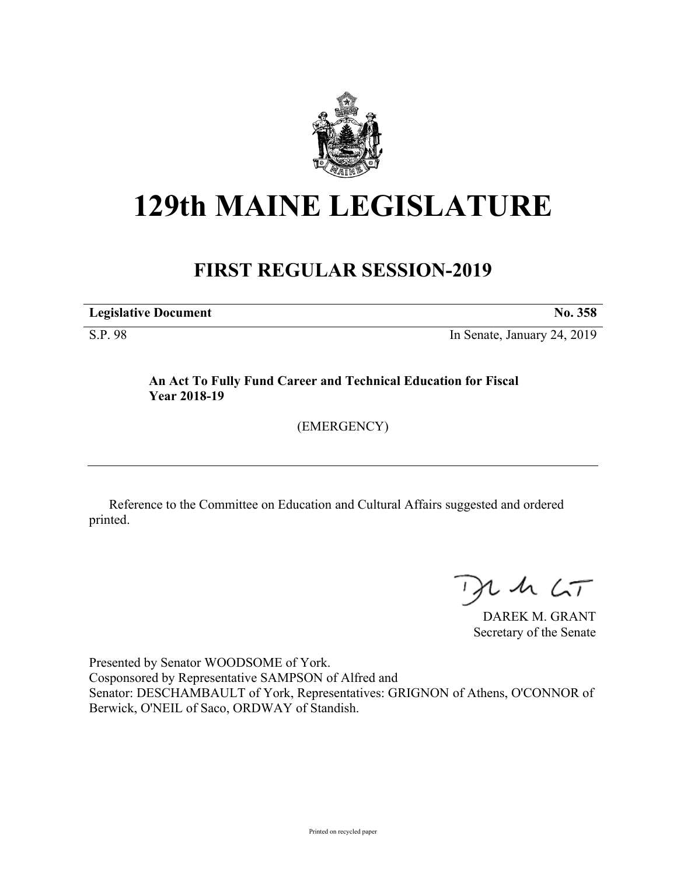

# **129th MAINE LEGISLATURE**

## **FIRST REGULAR SESSION-2019**

**Legislative Document No. 358**

S.P. 98 In Senate, January 24, 2019

### **An Act To Fully Fund Career and Technical Education for Fiscal Year 2018-19**

(EMERGENCY)

Reference to the Committee on Education and Cultural Affairs suggested and ordered printed.

 $125$ 

DAREK M. GRANT Secretary of the Senate

Presented by Senator WOODSOME of York. Cosponsored by Representative SAMPSON of Alfred and Senator: DESCHAMBAULT of York, Representatives: GRIGNON of Athens, O'CONNOR of Berwick, O'NEIL of Saco, ORDWAY of Standish.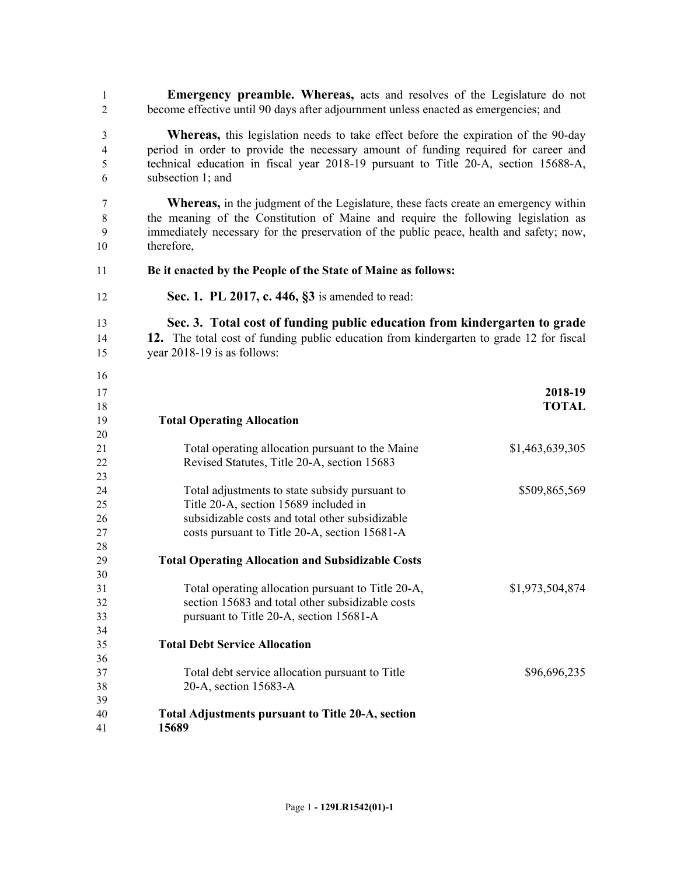**Emergency preamble. Whereas,** acts and resolves of the Legislature do not become effective until 90 days after adjournment unless enacted as emergencies; and

 **Whereas,** this legislation needs to take effect before the expiration of the 90-day period in order to provide the necessary amount of funding required for career and technical education in fiscal year 2018-19 pursuant to Title 20-A, section 15688-A, subsection 1; and

 **Whereas,** in the judgment of the Legislature, these facts create an emergency within the meaning of the Constitution of Maine and require the following legislation as immediately necessary for the preservation of the public peace, health and safety; now, therefore,

- **Be it enacted by the People of the State of Maine as follows:**
- **Sec. 1. PL 2017, c. 446, §3** is amended to read:
- **Sec. 3. Total cost of funding public education from kindergarten to grade 12.** The total cost of funding public education from kindergarten to grade 12 for fiscal
- year 2018-19 is as follows:

| $\sim$ |                                                          |                 |
|--------|----------------------------------------------------------|-----------------|
| 17     |                                                          | 2018-19         |
| 18     |                                                          | <b>TOTAL</b>    |
| 19     | <b>Total Operating Allocation</b>                        |                 |
| 20     |                                                          |                 |
| 21     | Total operating allocation pursuant to the Maine         | \$1,463,639,305 |
| 22     | Revised Statutes, Title 20-A, section 15683              |                 |
| 23     |                                                          |                 |
| 24     | Total adjustments to state subsidy pursuant to           | \$509,865,569   |
| 25     | Title 20-A, section 15689 included in                    |                 |
| 26     | subsidizable costs and total other subsidizable          |                 |
| 27     | costs pursuant to Title 20-A, section 15681-A            |                 |
| 28     |                                                          |                 |
| 29     | <b>Total Operating Allocation and Subsidizable Costs</b> |                 |
| 30     |                                                          |                 |
| 31     | Total operating allocation pursuant to Title 20-A,       | \$1,973,504,874 |
| 32     | section 15683 and total other subsidizable costs         |                 |
| 33     | pursuant to Title 20-A, section 15681-A                  |                 |
| 34     |                                                          |                 |
| 35     | <b>Total Debt Service Allocation</b>                     |                 |
| 36     |                                                          |                 |
| 37     | Total debt service allocation pursuant to Title          | \$96,696,235    |
| 38     | 20-A, section 15683-A                                    |                 |
| 39     |                                                          |                 |
| 40     | <b>Total Adjustments pursuant to Title 20-A, section</b> |                 |
| 41     | 15689                                                    |                 |
|        |                                                          |                 |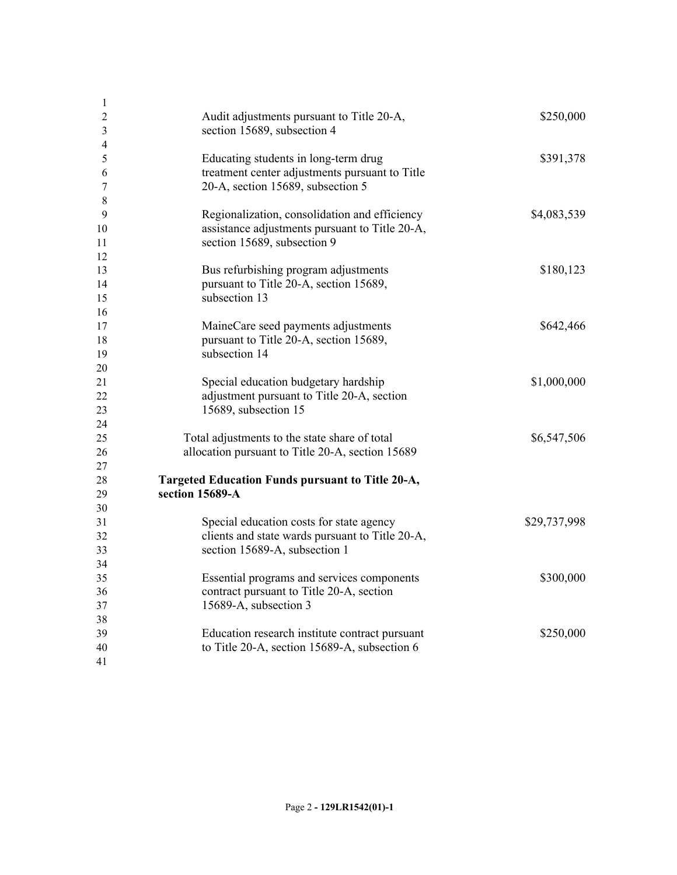| $\mathbf{1}$   |                                                  |              |
|----------------|--------------------------------------------------|--------------|
| $\overline{2}$ | Audit adjustments pursuant to Title 20-A,        | \$250,000    |
| $\mathfrak{Z}$ | section 15689, subsection 4                      |              |
| $\overline{4}$ |                                                  |              |
| $\mathfrak{S}$ | Educating students in long-term drug             | \$391,378    |
| 6              | treatment center adjustments pursuant to Title   |              |
| 7              | 20-A, section 15689, subsection 5                |              |
| 8              |                                                  |              |
| 9              | Regionalization, consolidation and efficiency    | \$4,083,539  |
| 10             | assistance adjustments pursuant to Title 20-A,   |              |
| 11             | section 15689, subsection 9                      |              |
| 12             |                                                  |              |
| 13             | Bus refurbishing program adjustments             | \$180,123    |
| 14             | pursuant to Title 20-A, section 15689,           |              |
| 15             | subsection 13                                    |              |
| 16             |                                                  |              |
| 17             | MaineCare seed payments adjustments              | \$642,466    |
| 18             | pursuant to Title 20-A, section 15689,           |              |
| 19             | subsection 14                                    |              |
| 20             |                                                  |              |
| 21             | Special education budgetary hardship             | \$1,000,000  |
| 22             | adjustment pursuant to Title 20-A, section       |              |
| 23             | 15689, subsection 15                             |              |
| 24             |                                                  |              |
| 25             | Total adjustments to the state share of total    | \$6,547,506  |
| 26             | allocation pursuant to Title 20-A, section 15689 |              |
| 27             |                                                  |              |
| 28             | Targeted Education Funds pursuant to Title 20-A, |              |
| 29             | section 15689-A                                  |              |
| 30             |                                                  |              |
| 31             | Special education costs for state agency         | \$29,737,998 |
| 32             | clients and state wards pursuant to Title 20-A,  |              |
| 33             | section 15689-A, subsection 1                    |              |
| 34             |                                                  |              |
| 35             | Essential programs and services components       | \$300,000    |
| 36             | contract pursuant to Title 20-A, section         |              |
| 37             | 15689-A, subsection 3                            |              |
| 38             |                                                  |              |
| 39             | Education research institute contract pursuant   | \$250,000    |
| 40             | to Title 20-A, section 15689-A, subsection 6     |              |
| 41             |                                                  |              |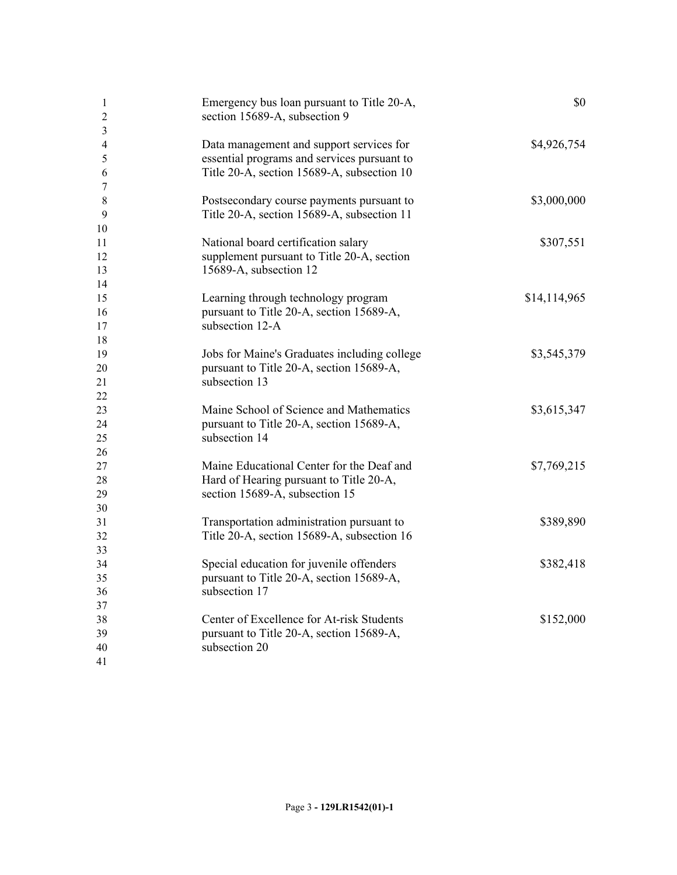| -1<br>$\overline{2}$<br>$\overline{\mathbf{3}}$ | Emergency bus loan pursuant to Title 20-A,<br>section 15689-A, subsection 9                                                           | \$0          |
|-------------------------------------------------|---------------------------------------------------------------------------------------------------------------------------------------|--------------|
| $\overline{4}$<br>5<br>6                        | Data management and support services for<br>essential programs and services pursuant to<br>Title 20-A, section 15689-A, subsection 10 | \$4,926,754  |
| 7                                               |                                                                                                                                       |              |
| 8                                               | Postsecondary course payments pursuant to                                                                                             | \$3,000,000  |
| 9                                               | Title 20-A, section 15689-A, subsection 11                                                                                            |              |
| 10                                              |                                                                                                                                       |              |
| 11                                              | National board certification salary                                                                                                   | \$307,551    |
| 12                                              | supplement pursuant to Title 20-A, section                                                                                            |              |
| 13                                              | 15689-A, subsection 12                                                                                                                |              |
| 14                                              |                                                                                                                                       |              |
| 15                                              | Learning through technology program                                                                                                   | \$14,114,965 |
| 16                                              | pursuant to Title 20-A, section 15689-A,                                                                                              |              |
| 17                                              | subsection 12-A                                                                                                                       |              |
| 18                                              |                                                                                                                                       |              |
| 19                                              | Jobs for Maine's Graduates including college                                                                                          | \$3,545,379  |
| 20                                              | pursuant to Title 20-A, section 15689-A,                                                                                              |              |
| 21                                              | subsection 13                                                                                                                         |              |
| $\overline{22}$                                 |                                                                                                                                       |              |
| 23                                              | Maine School of Science and Mathematics                                                                                               | \$3,615,347  |
| 24                                              | pursuant to Title 20-A, section 15689-A,                                                                                              |              |
| 25                                              | subsection 14                                                                                                                         |              |
| 26                                              |                                                                                                                                       |              |
| 27                                              | Maine Educational Center for the Deaf and                                                                                             | \$7,769,215  |
| 28                                              | Hard of Hearing pursuant to Title 20-A,                                                                                               |              |
| 29                                              | section 15689-A, subsection 15                                                                                                        |              |
| 30                                              |                                                                                                                                       |              |
| 31                                              | Transportation administration pursuant to                                                                                             | \$389,890    |
| 32                                              | Title 20-A, section 15689-A, subsection 16                                                                                            |              |
| 33                                              |                                                                                                                                       |              |
| 34                                              | Special education for juvenile offenders                                                                                              | \$382,418    |
| 35                                              | pursuant to Title 20-A, section 15689-A,                                                                                              |              |
| 36                                              | subsection 17                                                                                                                         |              |
| 37                                              |                                                                                                                                       |              |
| 38                                              | Center of Excellence for At-risk Students                                                                                             | \$152,000    |
| 39                                              | pursuant to Title 20-A, section 15689-A,                                                                                              |              |
| 40                                              | subsection 20                                                                                                                         |              |
| 41                                              |                                                                                                                                       |              |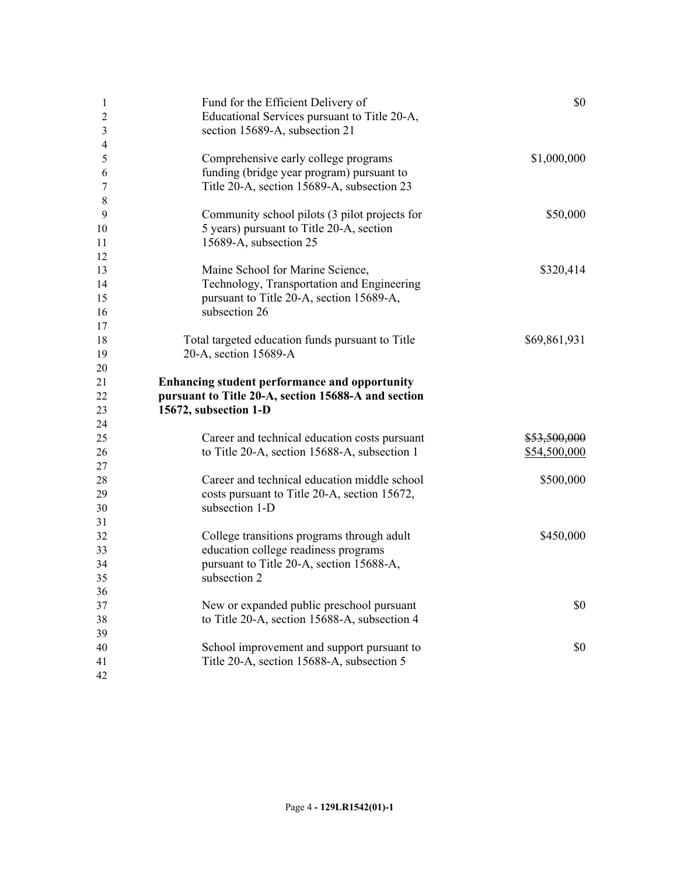| 1<br>$\overline{2}$<br>$\mathfrak{Z}$ | Fund for the Efficient Delivery of<br>Educational Services pursuant to Title 20-A,<br>section 15689-A, subsection 21                           | \$0                          |
|---------------------------------------|------------------------------------------------------------------------------------------------------------------------------------------------|------------------------------|
| $\overline{4}$<br>5<br>6<br>7         | Comprehensive early college programs<br>funding (bridge year program) pursuant to<br>Title 20-A, section 15689-A, subsection 23                | \$1,000,000                  |
| 8<br>9<br>10<br>11<br>12              | Community school pilots (3 pilot projects for<br>5 years) pursuant to Title 20-A, section<br>15689-A, subsection 25                            | \$50,000                     |
| 13<br>14<br>15<br>16                  | Maine School for Marine Science,<br>Technology, Transportation and Engineering<br>pursuant to Title 20-A, section 15689-A,<br>subsection 26    | \$320,414                    |
| 17<br>18<br>19<br>20                  | Total targeted education funds pursuant to Title<br>20-A, section 15689-A                                                                      | \$69,861,931                 |
| 21<br>22<br>23                        | Enhancing student performance and opportunity<br>pursuant to Title 20-A, section 15688-A and section<br>15672, subsection 1-D                  |                              |
| 24<br>25<br>26<br>27                  | Career and technical education costs pursuant<br>to Title 20-A, section 15688-A, subsection 1                                                  | \$53,500,000<br>\$54,500,000 |
| 28<br>29<br>30                        | Career and technical education middle school<br>costs pursuant to Title 20-A, section 15672,<br>subsection 1-D                                 | \$500,000                    |
| 31<br>32<br>33<br>34<br>35            | College transitions programs through adult<br>education college readiness programs<br>pursuant to Title 20-A, section 15688-A,<br>subsection 2 | \$450,000                    |
| 36<br>37<br>38                        | New or expanded public preschool pursuant<br>to Title 20-A, section 15688-A, subsection 4                                                      | \$0                          |
| 39<br>40<br>41<br>42                  | School improvement and support pursuant to<br>Title 20-A, section 15688-A, subsection 5                                                        | \$0                          |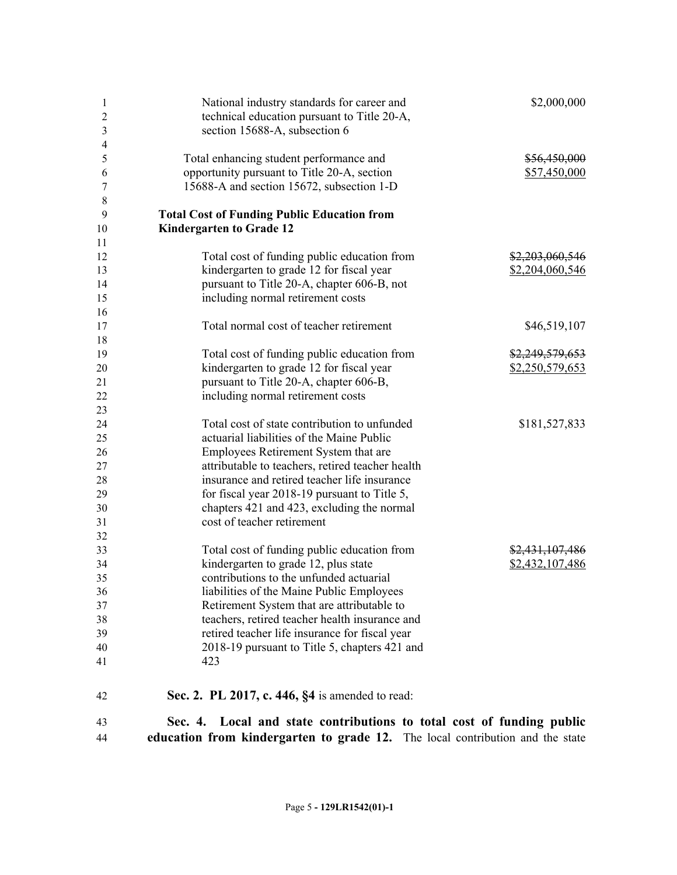| 1<br>$\overline{2}$<br>3<br>4 | National industry standards for career and<br>technical education pursuant to Title 20-A,<br>section 15688-A, subsection 6 | \$2,000,000                  |
|-------------------------------|----------------------------------------------------------------------------------------------------------------------------|------------------------------|
| 5<br>6                        | Total enhancing student performance and<br>opportunity pursuant to Title 20-A, section                                     | \$56,450,000<br>\$57,450,000 |
| 7<br>8                        | 15688-A and section 15672, subsection 1-D                                                                                  |                              |
| 9                             | <b>Total Cost of Funding Public Education from</b>                                                                         |                              |
| 10                            | <b>Kindergarten to Grade 12</b>                                                                                            |                              |
| 11                            |                                                                                                                            |                              |
| 12                            | Total cost of funding public education from                                                                                | \$2,203,060,546              |
| 13                            | kindergarten to grade 12 for fiscal year                                                                                   | \$2,204,060,546              |
| 14                            | pursuant to Title 20-A, chapter 606-B, not                                                                                 |                              |
| 15                            | including normal retirement costs                                                                                          |                              |
| 16                            |                                                                                                                            |                              |
| 17                            | Total normal cost of teacher retirement                                                                                    | \$46,519,107                 |
| 18                            |                                                                                                                            |                              |
| 19                            | Total cost of funding public education from                                                                                | \$2,249,579,653              |
| 20                            | kindergarten to grade 12 for fiscal year                                                                                   | \$2,250,579,653              |
| 21                            | pursuant to Title 20-A, chapter 606-B,                                                                                     |                              |
| 22                            | including normal retirement costs                                                                                          |                              |
| 23                            |                                                                                                                            |                              |
| 24                            | Total cost of state contribution to unfunded                                                                               | \$181,527,833                |
| 25                            | actuarial liabilities of the Maine Public                                                                                  |                              |
| 26                            | Employees Retirement System that are                                                                                       |                              |
| 27                            | attributable to teachers, retired teacher health                                                                           |                              |
| 28                            | insurance and retired teacher life insurance                                                                               |                              |
| 29                            | for fiscal year 2018-19 pursuant to Title 5,                                                                               |                              |
| 30<br>31                      | chapters 421 and 423, excluding the normal<br>cost of teacher retirement                                                   |                              |
| 32                            |                                                                                                                            |                              |
| 33                            | Total cost of funding public education from                                                                                | \$2,431,107,486              |
| 34                            | kindergarten to grade 12, plus state                                                                                       | \$2,432,107,486              |
| 35                            | contributions to the unfunded actuarial                                                                                    |                              |
| 36                            | liabilities of the Maine Public Employees                                                                                  |                              |
| 37                            | Retirement System that are attributable to                                                                                 |                              |
| 38                            | teachers, retired teacher health insurance and                                                                             |                              |
| 39                            | retired teacher life insurance for fiscal year                                                                             |                              |
| 40                            | 2018-19 pursuant to Title 5, chapters 421 and                                                                              |                              |
| 41                            | 423                                                                                                                        |                              |
| 42                            | Sec. 2. PL 2017, c. 446, §4 is amended to read:                                                                            |                              |
| 43                            | Local and state contributions to total cost of funding public<br>Sec. 4.                                                   |                              |
| 44                            | education from kindergarten to grade 12. The local contribution and the state                                              |                              |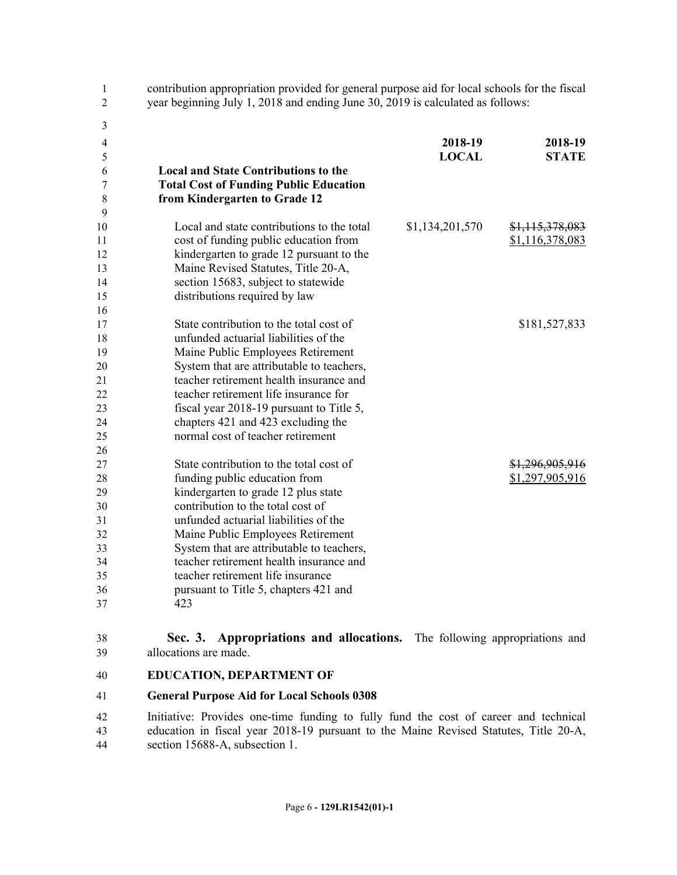| $\mathbf{1}$<br>$\overline{2}$ | contribution appropriation provided for general purpose aid for local schools for the fiscal<br>year beginning July 1, 2018 and ending June 30, 2019 is calculated as follows: |                 |                 |  |
|--------------------------------|--------------------------------------------------------------------------------------------------------------------------------------------------------------------------------|-----------------|-----------------|--|
| 3                              |                                                                                                                                                                                |                 |                 |  |
| 4                              |                                                                                                                                                                                | 2018-19         | 2018-19         |  |
| 5                              |                                                                                                                                                                                | <b>LOCAL</b>    | <b>STATE</b>    |  |
| 6                              | <b>Local and State Contributions to the</b>                                                                                                                                    |                 |                 |  |
| 7                              | <b>Total Cost of Funding Public Education</b>                                                                                                                                  |                 |                 |  |
| 8                              | from Kindergarten to Grade 12                                                                                                                                                  |                 |                 |  |
| 9                              |                                                                                                                                                                                |                 |                 |  |
| 10                             | Local and state contributions to the total                                                                                                                                     | \$1,134,201,570 | \$1,115,378,083 |  |
| 11                             | cost of funding public education from                                                                                                                                          |                 | \$1,116,378,083 |  |
| 12                             | kindergarten to grade 12 pursuant to the                                                                                                                                       |                 |                 |  |
| 13<br>14                       | Maine Revised Statutes, Title 20-A,                                                                                                                                            |                 |                 |  |
| 15                             | section 15683, subject to statewide<br>distributions required by law                                                                                                           |                 |                 |  |
| 16                             |                                                                                                                                                                                |                 |                 |  |
| 17                             | State contribution to the total cost of                                                                                                                                        |                 | \$181,527,833   |  |
| 18                             | unfunded actuarial liabilities of the                                                                                                                                          |                 |                 |  |
| 19                             | Maine Public Employees Retirement                                                                                                                                              |                 |                 |  |
| 20                             | System that are attributable to teachers,                                                                                                                                      |                 |                 |  |
| 21                             | teacher retirement health insurance and                                                                                                                                        |                 |                 |  |
| 22                             | teacher retirement life insurance for                                                                                                                                          |                 |                 |  |
| 23                             | fiscal year 2018-19 pursuant to Title 5,                                                                                                                                       |                 |                 |  |
| 24                             | chapters 421 and 423 excluding the                                                                                                                                             |                 |                 |  |
| 25                             | normal cost of teacher retirement                                                                                                                                              |                 |                 |  |
| 26                             |                                                                                                                                                                                |                 |                 |  |
| 27                             | State contribution to the total cost of                                                                                                                                        |                 | \$1,296,905,916 |  |
| 28                             | funding public education from                                                                                                                                                  |                 | \$1,297,905,916 |  |
| 29                             | kindergarten to grade 12 plus state                                                                                                                                            |                 |                 |  |
| 30                             | contribution to the total cost of                                                                                                                                              |                 |                 |  |
| 31                             | unfunded actuarial liabilities of the                                                                                                                                          |                 |                 |  |
| 32                             | Maine Public Employees Retirement                                                                                                                                              |                 |                 |  |
| 33                             | System that are attributable to teachers,                                                                                                                                      |                 |                 |  |
| 34                             | teacher retirement health insurance and                                                                                                                                        |                 |                 |  |
| 35                             | teacher retirement life insurance                                                                                                                                              |                 |                 |  |
| 36                             | pursuant to Title 5, chapters 421 and                                                                                                                                          |                 |                 |  |
| 37                             | 423                                                                                                                                                                            |                 |                 |  |
|                                |                                                                                                                                                                                |                 |                 |  |

38 **Sec. 3. Appropriations and allocations.** The following appropriations and 39 allocations are made.

#### 40 **EDUCATION, DEPARTMENT OF**

#### 41 **General Purpose Aid for Local Schools 0308**

42 Initiative: Provides one-time funding to fully fund the cost of career and technical 43 education in fiscal year 2018-19 pursuant to the Maine Revised Statutes, Title 20-A, 44 section 15688-A, subsection 1.